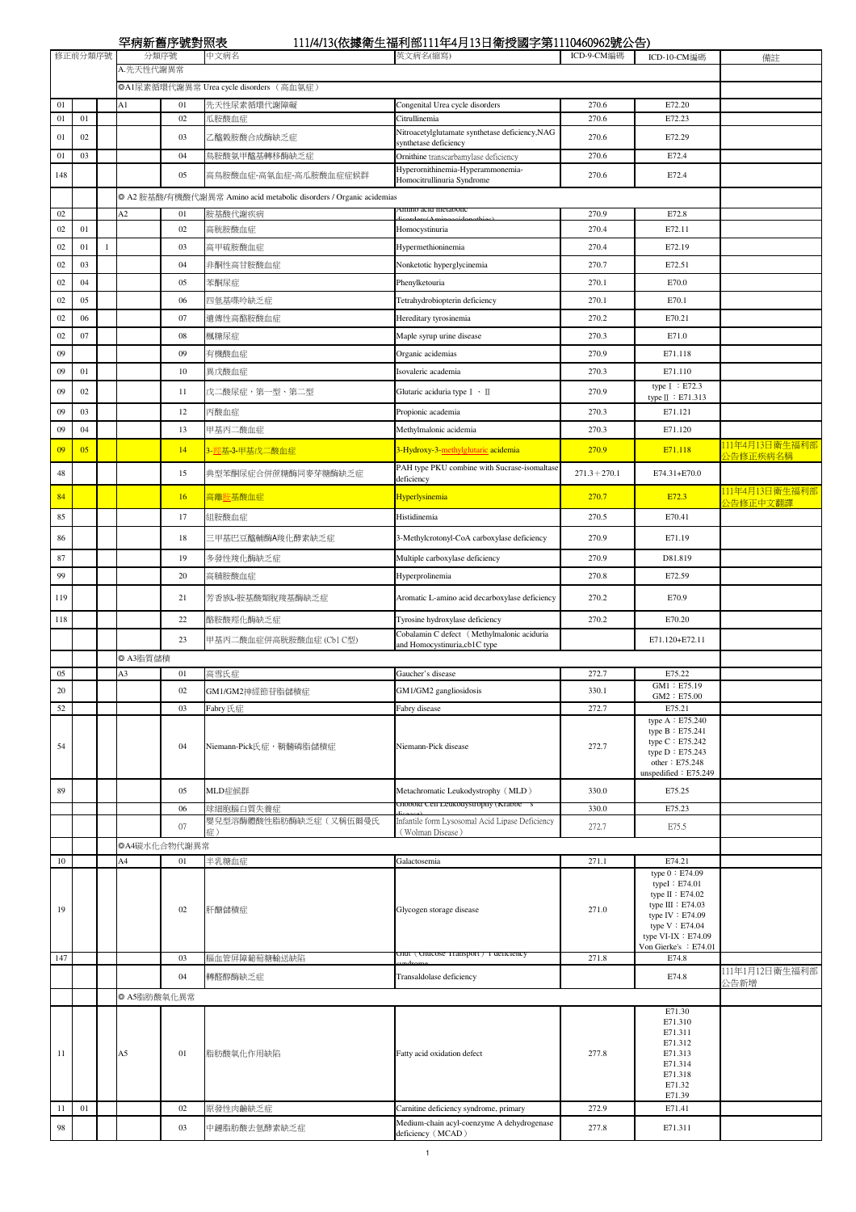罕病新舊序號對照表 111/4/13(依據衛生福利部111年4月13日衛授國字第1110460962號公告)

|          | 修正前分類序號 |              | 十かれ 目小 ルジボベ | 分類序號               | 中文病名                                                                | 111/17/12 (以嫁冊工冊11中111千1) 12日 閘文図 7 分1110100202加公日)<br>英文病名(缩寫)            | ICD-9-CM編碼      | ICD-10-CM編碼                                                                                                                          | 備註             |
|----------|---------|--------------|-------------|--------------------|---------------------------------------------------------------------|----------------------------------------------------------------------------|-----------------|--------------------------------------------------------------------------------------------------------------------------------------|----------------|
|          |         |              | A.先天性代謝異常   |                    |                                                                     |                                                                            |                 |                                                                                                                                      |                |
|          |         |              |             |                    | ◎A1尿素循環代謝異常 Urea cycle disorders (高血氨症)                             |                                                                            |                 |                                                                                                                                      |                |
|          |         |              |             |                    |                                                                     |                                                                            |                 |                                                                                                                                      |                |
| 01<br>01 | 01      |              | A1          | 01<br>02           | 先天性尿素循環代謝障礙<br>瓜胺酸血症                                                | Congenital Urea cycle disorders<br>Citrullinemia                           | 270.6<br>270.6  | E72.20<br>E72.23                                                                                                                     |                |
|          |         |              |             |                    |                                                                     | Nitroacetylglutamate synthetase deficiency, NAG                            |                 |                                                                                                                                      |                |
| 01       | $02\,$  |              |             | 03                 | 乙醯榖胺酸合成酶缺乏症                                                         | synthetase deficiency                                                      | 270.6           | E72.29                                                                                                                               |                |
| 01       | 03      |              |             | 04                 | 鳥胺酸氨甲醯基轉移酶缺乏症                                                       | Ornithine transcarbamylase deficiency                                      | 270.6           | E72.4                                                                                                                                |                |
| 148      |         |              |             | 05                 | 高鳥胺酸血症-高氨血症-高瓜胺酸血症症候群                                               | Hyperornithinemia-Hyperammonemia-<br>Homocitrullinuria Syndrome            | 270.6           | E72.4                                                                                                                                |                |
|          |         |              |             |                    | ◎ A2 胺基酸/有機酸代謝異常 Amino acid metabolic disorders / Organic acidemias |                                                                            |                 |                                                                                                                                      |                |
|          |         |              |             |                    |                                                                     | лишо аскі пістарої                                                         |                 |                                                                                                                                      |                |
| 02<br>02 | 01      |              | A2          | 01<br>02           | 安基酸代謝疾病                                                             |                                                                            | 270.9<br>270.4  | E72.8                                                                                                                                |                |
|          |         |              |             |                    | 高胱胺酸血症                                                              | Homocystinuria                                                             |                 | E72.11                                                                                                                               |                |
| 02       | 01      | $\mathbf{1}$ |             | 03                 | 高甲硫胺酸血症                                                             | Hypermethioninemia                                                         | 270.4           | E72.19                                                                                                                               |                |
| 02       | 03      |              |             | 04                 | 非酮性高甘胺酸血症                                                           | Nonketotic hyperglycinemia                                                 | 270.7           | E72.51                                                                                                                               |                |
| 02       | 04      |              |             | 05                 | 苯酮尿症                                                                | Phenylketouria                                                             | 270.1           | E70.0                                                                                                                                |                |
| 02       | 05      |              |             | 06                 | 四氫基喋呤缺乏症                                                            | Tetrahydrobiopterin deficiency                                             | 270.1           | E70.1                                                                                                                                |                |
| 02       | 06      |              |             | 07                 | 遺傳性高酪胺酸血症                                                           | Hereditary tyrosinemia                                                     | 270.2           | E70.21                                                                                                                               |                |
| 02       | 07      |              |             | $08\,$             | 楓糖尿症                                                                | Maple syrup urine disease                                                  | 270.3           | E71.0                                                                                                                                |                |
|          |         |              |             |                    |                                                                     |                                                                            |                 |                                                                                                                                      |                |
| 09       |         |              |             | 09                 | 有機酸血症                                                               | Organic acidemias                                                          | 270.9           | E71.118                                                                                                                              |                |
| 09       | 01      |              |             | 10                 | 異戊酸血症                                                               | Isovaleric academia                                                        | 270.3           | E71.110                                                                                                                              |                |
| 09       | 02      |              |             | 11                 | 戊二酸尿症,第一型、第二型                                                       | Glutaric aciduria type I · II                                              | 270.9           | type I : E72.3<br>type II : E71.313                                                                                                  |                |
| 09       | 03      |              |             | 12                 | 丙酸血症                                                                | Propionic academia                                                         | 270.3           | E71.121                                                                                                                              |                |
| 09       | 04      |              |             | 13                 | 甲基丙二酸血症                                                             | Methylmalonic acidemia                                                     | 270.3           | E71.120                                                                                                                              |                |
|          |         |              |             |                    |                                                                     |                                                                            |                 |                                                                                                                                      | 111年4月13日衛生福利部 |
| 09       | 05      |              |             | 14                 | 3- <mark>羥基-3-甲基戊二酸血症</mark>                                        | 3-Hydroxy-3-methylglutaric acidemia                                        | 270.9           | E71.118                                                                                                                              | 公告修正疾病名稱       |
| 48       |         |              |             | 15                 | 典型苯酮尿症合併蔗糖酶同麥芽糖酶缺乏症                                                 | PAH type PKU combine with Sucrase-isomaltase                               | $271.3 + 270.1$ | E74.31+E70.0                                                                                                                         |                |
|          |         |              |             |                    |                                                                     | deficiency                                                                 |                 |                                                                                                                                      | 111年4月13日衛生福利部 |
| 84       |         |              |             | 16                 | 高離 <mark>胺基酸血症</mark>                                               | Hyperlysinemia                                                             | 270.7           | E72.3                                                                                                                                | 公告修正中文翻譯       |
| 85       |         |              |             | 17                 | 組胺酸血症                                                               | Histidinemia                                                               | 270.5           | E70.41                                                                                                                               |                |
| 86       |         |              |             | 18                 | 三甲基巴豆醯輔酶A羧化酵素缺乏症                                                    | 3-Methylcrotonyl-CoA carboxylase deficiency                                | 270.9           | E71.19                                                                                                                               |                |
| 87       |         |              |             | 19                 | 多發性羧化酶缺乏症                                                           | Multiple carboxylase deficiency                                            | 270.9           | D81.819                                                                                                                              |                |
|          |         |              |             |                    |                                                                     |                                                                            |                 |                                                                                                                                      |                |
| 99       |         |              |             | $20\,$             | 高脯胺酸血症                                                              | Hyperprolinemia                                                            | 270.8           | E72.59                                                                                                                               |                |
| 119      |         |              |             | 21                 | 芳香族L-胺基酸類脫羧基酶缺乏症                                                    | Aromatic L-amino acid decarboxylase deficiency                             | 270.2           | E70.9                                                                                                                                |                |
| 118      |         |              |             | $22\,$             | 酪胺酸羥化酶缺乏症                                                           | Tyrosine hydroxylase deficiency                                            | 270.2           | E70.20                                                                                                                               |                |
|          |         |              |             | 23                 | 甲基丙二酸血症併高胱胺酸血症 (Cb1 C型)                                             | Cobalamin C defect (Methylmalonic aciduria<br>and Homocystinuria,cb1C type |                 | E71.120+E72.11                                                                                                                       |                |
|          |         |              | ◎ A3脂質儲積    |                    |                                                                     |                                                                            |                 |                                                                                                                                      |                |
| 05       |         |              | A3          | 01                 | 高雪氏症                                                                | Gaucher's disease                                                          | 272.7           | E75.22                                                                                                                               |                |
| 20       |         |              |             | 02                 | GM1/GM2神經節苷脂儲積症                                                     | GM1/GM2 gangliosidosis                                                     | 330.1           | GM1: E75.19                                                                                                                          |                |
| 52       |         |              |             | 03                 | Fabry 氏症                                                            | Fabry disease                                                              | 272.7           | GM2: E75.00<br>E75.21                                                                                                                |                |
|          |         |              |             |                    |                                                                     |                                                                            |                 | type A: E75.240                                                                                                                      |                |
| 54       |         |              |             | 04                 | Niemann-Pick氏症,鞘髓磷脂儲積症                                              | Niemann-Pick disease                                                       | 272.7           | type B: E75.241<br>type C: E75.242<br>type D: E75.243<br>other: E75.248<br>unspedified: E75.249                                      |                |
| 89       |         |              |             | 05                 | MLD症候群                                                              | Metachromatic Leukodystrophy (MLD)                                         | 330.0           | E75.25                                                                                                                               |                |
|          |         |              |             | 06                 | 球細胞腦白質失養症                                                           | GIODORI CEII LEUKOLYSITOPHY (KraDDE S                                      | 330.0           | E75.23                                                                                                                               |                |
|          |         |              |             | 07                 | 嬰兒型溶酶體酸性脂肪酶缺乏症(又稱伍爾曼氏                                               | Infantile form Lysosomal Acid Lipase Deficiency                            | 272.7           | E75.5                                                                                                                                |                |
|          |         |              |             |                    | 症)                                                                  | (Wolman Disease)                                                           |                 |                                                                                                                                      |                |
| $10\,$   |         |              | A4          | ◎A4碳水化合物代謝異常<br>01 | 半乳糖血症                                                               | Galactosemia                                                               | 271.1           | E74.21                                                                                                                               |                |
| 19       |         |              |             | 02                 | 肝醣儲積症                                                               | Glycogen storage disease                                                   | 271.0           | type 0: E74.09<br>typeI: E74.01<br>type II : E74.02<br>type III : E74.03<br>type IV: E74.09<br>type V: E74.04<br>type VI-IX : E74.09 |                |
| 147      |         |              |             | 03                 | 腦血管屏障葡萄糖輸送缺陷                                                        | сни (Gueose Fransport) і денсієнсу                                         | 271.8           | Von Gierke's : E74.01<br>E74.8                                                                                                       |                |
|          |         |              |             | 04                 | 轉醛醇酶缺乏症                                                             | Transaldolase deficiency                                                   |                 | E74.8                                                                                                                                | 111年1月12日衛生福利部 |
|          |         |              |             |                    |                                                                     |                                                                            |                 |                                                                                                                                      | 公告新增           |
|          |         |              | © A5脂肪酸氧化異常 |                    |                                                                     |                                                                            |                 | E71.30                                                                                                                               |                |
| 11       |         |              | A5          | 01                 | 脂肪酸氧化作用缺陷                                                           | Fatty acid oxidation defect                                                | 277.8           | E71.310<br>E71.311<br>E71.312<br>E71.313<br>E71.314<br>E71.318<br>E71.32<br>E71.39                                                   |                |
| 11       | 01      |              |             | 02                 | 原發性肉鹼缺乏症                                                            | Carnitine deficiency syndrome, primary                                     | 272.9           | E71.41                                                                                                                               |                |
| 98       |         |              |             | 03                 | 中鏈脂肪酸去氫酵素缺乏症                                                        | Medium-chain acyl-coenzyme A dehydrogenase<br>deficiency (MCAD)            | 277.8           | E71.311                                                                                                                              |                |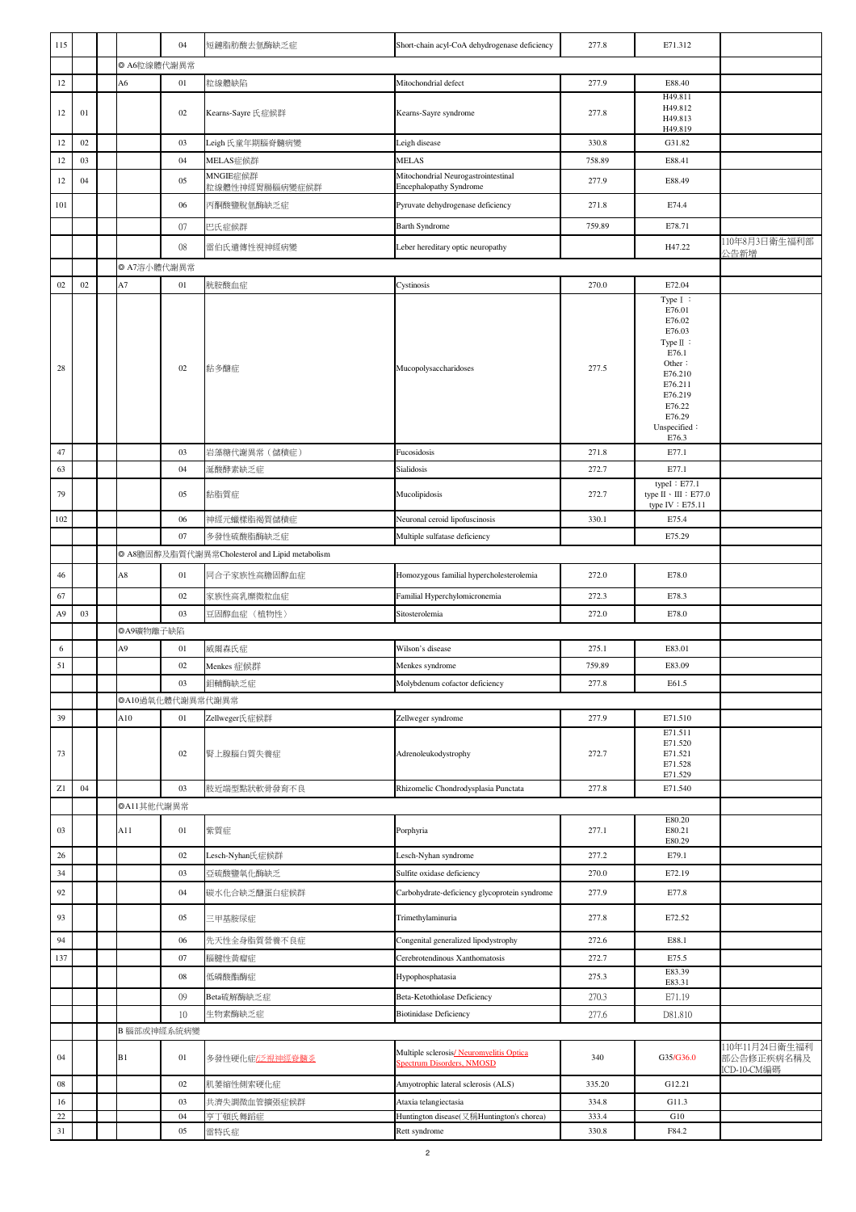| 115              |              |             | 04               | 短鏈脂肪酸去氫酶缺乏症                                    | Short-chain acyl-CoA dehydrogenase deficiency                               | 277.8          | E71.312                                                        |                              |
|------------------|--------------|-------------|------------------|------------------------------------------------|-----------------------------------------------------------------------------|----------------|----------------------------------------------------------------|------------------------------|
|                  |              | © A6粒線體代謝異常 |                  |                                                |                                                                             |                |                                                                |                              |
| 12               |              | А6          | 01               | 粒線體缺陷                                          | Mitochondrial defect                                                        | 277.9          | E88.40                                                         |                              |
|                  |              |             |                  |                                                |                                                                             |                | H49.811                                                        |                              |
| 12               | 01           |             | $02\,$           | Kearns-Sayre 氏症候群                              | Kearns-Sayre syndrome                                                       | 277.8          | H49.812<br>H49.813                                             |                              |
|                  |              |             |                  |                                                |                                                                             |                | H49.819                                                        |                              |
| 12               | $02\,$<br>03 |             | 03<br>04         | Leigh氏童年期腦脊髓病變                                 | Leigh disease                                                               | 330.8          | G31.82                                                         |                              |
| 12               |              |             |                  | MELAS症候群<br>MNGIE症候群                           | MELAS<br>Mitochondrial Neurogastrointestinal                                | 758.89         | E88.41                                                         |                              |
| 12               | 04           |             | 05               | 粒線體性神經胃腸腦病變症候群                                 | Encephalopathy Syndrome                                                     | 277.9          | E88.49                                                         |                              |
| 101              |              |             | 06               | 丙酮酸鹽脫氫酶缺乏症                                     | Pyruvate dehydrogenase deficiency                                           | 271.8          | E74.4                                                          |                              |
|                  |              |             | 07               | 巴氏症候群                                          | <b>Barth Syndrome</b>                                                       | 759.89         | E78.71                                                         |                              |
|                  |              |             | 08               | 雷伯氏遺傳性視神經病變                                    | Leber hereditary optic neuropathy                                           |                | H47.22                                                         | 110年8月3日衛生福利部<br>公告新增        |
|                  |              | © A7溶小體代謝異常 |                  |                                                |                                                                             |                |                                                                |                              |
| 02               | $02\,$       | A7          | 01               | 胱胺酸血症                                          | Cystinosis                                                                  | 270.0          | E72.04                                                         |                              |
|                  |              |             |                  |                                                |                                                                             |                | Type I:<br>E76.01<br>E76.02                                    |                              |
|                  |              |             |                  |                                                |                                                                             |                | E76.03                                                         |                              |
|                  |              |             |                  |                                                |                                                                             |                | Type $\mathbb I$ :<br>E76.1                                    |                              |
| 28               |              |             | 02               | 黏多醣症                                           | Mucopolysaccharidoses                                                       | 277.5          | Other:<br>E76.210                                              |                              |
|                  |              |             |                  |                                                |                                                                             |                | E76.211                                                        |                              |
|                  |              |             |                  |                                                |                                                                             |                | E76.219<br>E76.22                                              |                              |
|                  |              |             |                  |                                                |                                                                             |                | E76.29<br>Unspecified:                                         |                              |
|                  |              |             |                  |                                                |                                                                             |                | E76.3                                                          |                              |
| $47\,$           |              |             | 03               | 岩藻糖代謝異常(儲積症)                                   | Fucosidosis                                                                 | 271.8          | E77.1                                                          |                              |
| 63               |              |             | 04               | 涎酸酵素缺乏症                                        | Sialidosis                                                                  | 272.7          | E77.1                                                          |                              |
| 79               |              |             | 05               | 黏脂質症                                           | Mucolipidosis                                                               | 272.7          | typeI: E77.1<br>type $II \cdot III$ : E77.0<br>type IV: E75.11 |                              |
| 102              |              |             | 06               | 神經元蠟樣脂褐質儲積症                                    | Neuronal ceroid lipofuscinosis                                              | 330.1          | E75.4                                                          |                              |
|                  |              |             | 07               | 多發性硫酸脂酶缺乏症                                     | Multiple sulfatase deficiency                                               |                | E75.29                                                         |                              |
|                  |              |             |                  | ◎ A8膽固醇及脂質代謝異常Cholesterol and Lipid metabolism |                                                                             |                |                                                                |                              |
| 46               |              | A8          | 01               | 同合子家族性高膽固醇血症                                   | Homozygous familial hypercholesterolemia                                    | 272.0          | E78.0                                                          |                              |
| 67               |              |             | 02               | 家族性高乳糜微粒血症                                     | Familial Hyperchylomicronemia                                               | 272.3          | E78.3                                                          |                              |
|                  |              |             |                  |                                                |                                                                             |                |                                                                |                              |
| A <sub>9</sub>   | 03           |             | 03               | 豆固醇血症 (植物性)                                    | Sitosterolemia                                                              | 272.0          | E78.0                                                          |                              |
|                  |              | ◎A9礦物離子缺陷   |                  |                                                |                                                                             |                |                                                                |                              |
| 6                |              | А9          | 01               | 威爾森氏症                                          | Wilson's disease                                                            | 275.1          | E83.01                                                         |                              |
| 51               |              |             | $02\,$           | Menkes 症候群                                     | Menkes syndrome                                                             | 759.89         | E83.09                                                         |                              |
|                  |              |             | 03               | 鉬輔酶缺乏症                                         | Molybdenum cofactor deficiency                                              | 277.8          | E61.5                                                          |                              |
|                  |              |             | ◎A10過氧化體代謝異常代謝異常 |                                                |                                                                             |                |                                                                |                              |
| 39               |              | A10         | 01               | Zellweger氏症候群                                  | Zellweger syndrome                                                          | 277.9          | E71.510                                                        |                              |
| 73               |              |             | $02\,$           | 腎上腺腦白質失養症                                      | Adrenoleukodystrophy                                                        | 272.7          | E71.511<br>E71.520<br>E71.521                                  |                              |
|                  |              |             |                  |                                                |                                                                             |                | E71.528<br>E71.529                                             |                              |
| ${\bf Z}1$       | 04           |             | 03               | 肢近端型點狀軟骨發育不良                                   | Rhizomelic Chondrodysplasia Punctata                                        | 277.8          | E71.540                                                        |                              |
|                  |              | ©All其他代謝異常  |                  |                                                |                                                                             |                |                                                                |                              |
| 03               |              | A11         | 01               | 紫質症                                            | Porphyria                                                                   | 277.1          | E80.20<br>E80.21<br>E80.29                                     |                              |
| 26               |              |             | 02               | Lesch-Nyhan氏症候群                                | Lesch-Nyhan syndrome                                                        | 277.2          | E79.1                                                          |                              |
| 34               |              |             | 03               | 亞硫酸鹽氧化酶缺乏                                      | Sulfite oxidase deficiency                                                  | 270.0          | E72.19                                                         |                              |
| 92               |              |             | 04               | 碳水化合缺乏醣蛋白症候群                                   | Carbohydrate-deficiency glycoprotein syndrome                               | 277.9          | E77.8                                                          |                              |
| 93               |              |             | 05               | 三甲基胺尿症                                         | Trimethylaminuria                                                           | 277.8          | E72.52                                                         |                              |
| 94               |              |             | 06               | 先天性全身脂質營養不良症                                   | Congenital generalized lipodystrophy                                        | 272.6          | E88.1                                                          |                              |
| 137              |              |             | 07               | 腦腱性黃瘤症                                         | Cerebrotendinous Xanthomatosis                                              | 272.7          | E75.5                                                          |                              |
|                  |              |             | ${\bf 08}$       | 低磷酸酯酶症                                         | Hypophosphatasia                                                            | 275.3          | E83.39<br>E83.31                                               |                              |
|                  |              |             | 09               | Beta硫解酶缺乏症                                     | Beta-Ketothiolase Deficiency                                                | 270.3          | E71.19                                                         |                              |
|                  |              |             | 10               | 生物素酶缺乏症                                        | <b>Biotinidase Deficiency</b>                                               | 277.6          | D81.810                                                        |                              |
|                  |              |             | B 腦部或神經系統病變      |                                                |                                                                             |                |                                                                |                              |
| 04               |              | B1          | $01\,$           | 多發性硬化症/泛視神經脊髓炎                                 | Multiple sclerosis/Neuromyelitis Optica<br><b>Spectrum Disorders, NMOSD</b> | 340            | G35/G36.0                                                      | 110年11月24日衛生福利<br>部公告修正疾病名稱及 |
| ${\bf 08}$       |              |             | $02\,$           | 肌萎缩性側索硬化症                                      | Amyotrophic lateral sclerosis (ALS)                                         | 335.20         | G12.21                                                         | ICD-10-CM編碼                  |
| 16               |              |             | 03               | 共濟失調微血管擴張症候群                                   | Ataxia telangiectasia                                                       | 334.8          | G11.3                                                          |                              |
| $22\,$<br>$31\,$ |              |             | 04<br>05         | 亨丁頓氏舞蹈症<br>雷特氏症                                | Huntington disease(又稱Huntington's chorea)<br>Rett syndrome                  | 333.4<br>330.8 | G10<br>F84.2                                                   |                              |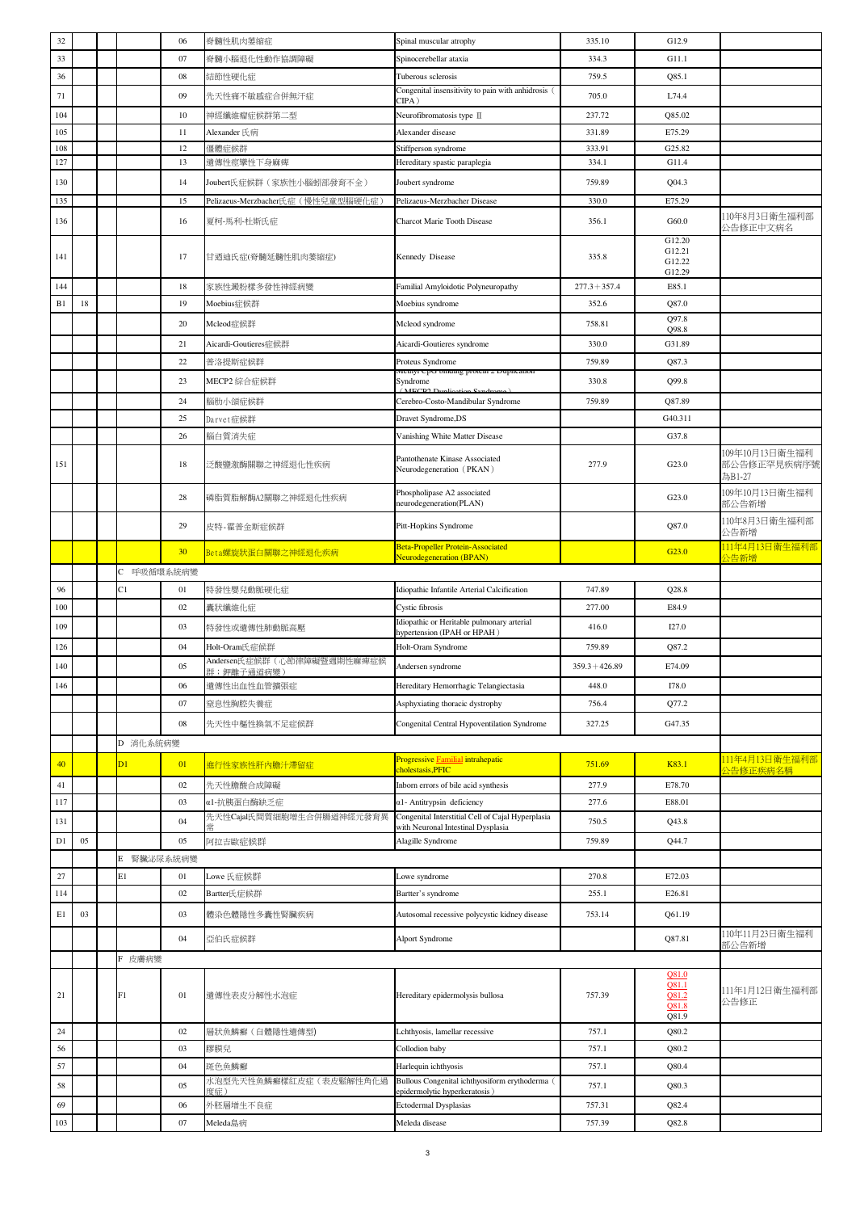| 32  |    |            | 06       | 脊髓性肌肉萎缩症                                    | Spinal muscular atrophy                                                         | 335.10           | G12.9                                                   |                                         |
|-----|----|------------|----------|---------------------------------------------|---------------------------------------------------------------------------------|------------------|---------------------------------------------------------|-----------------------------------------|
| 33  |    |            | 07       | 脊髓小腦退化性動作協調障礙                               | Spinocerebellar ataxia                                                          | 334.3            | G11.1                                                   |                                         |
| 36  |    |            | 08       | 結節性硬化症                                      | Tuberous sclerosis                                                              | 759.5            | Q85.1                                                   |                                         |
| 71  |    |            | 09       | 先天性痛不敏感症合併無汗症                               | Congenital insensitivity to pain with anhidrosis (<br>CIPA)                     | 705.0            | L74.4                                                   |                                         |
| 104 |    |            | 10       | 神經纖維瘤症候群第二型                                 | Neurofibromatosis type II                                                       | 237.72           | Q85.02                                                  |                                         |
| 105 |    |            | 11       | Alexander 氏病                                | Alexander disease                                                               | 331.89           | E75.29                                                  |                                         |
| 108 |    |            | 12       | 僵體症候群                                       | Stiffperson syndrome                                                            | 333.91           | G25.82                                                  |                                         |
| 127 |    |            | 13       | 遺傳性痙攣性下身麻痺                                  | Hereditary spastic paraplegia                                                   | 334.1            | G11.4                                                   |                                         |
| 130 |    |            | 14       | Joubert氏症候群(家族性小腦蚓部發育不全)                    | Joubert syndrome                                                                | 759.89           | Q04.3                                                   |                                         |
| 135 |    |            | 15       | Pelizaeus-Merzbacher氏症(慢性兒童型腦硬化症)           | Pelizaeus-Merzbacher Disease                                                    | 330.0            | E75.29                                                  |                                         |
| 136 |    |            | 16       | 夏柯-馬利-杜斯氏症                                  | Charcot Marie Tooth Disease                                                     | 356.1            | G60.0                                                   | 110年8月3日衛生福利部<br>公告修正中文病名               |
| 141 |    |            | 17       | 甘迺迪氏症(脊髓延髓性肌肉萎缩症)                           | Kennedy Disease                                                                 | 335.8            | G12.20<br>G12.21<br>G12.22<br>G12.29                    |                                         |
| 144 |    |            | 18       | 家族性澱粉樣多發性神經病變                               | Familial Amyloidotic Polyneuropathy                                             | $277.3 + 357.4$  | E85.1                                                   |                                         |
| B1  | 18 |            | 19       | Moebius症候群                                  | Moebius syndrome                                                                | 352.6            | Q87.0                                                   |                                         |
|     |    |            | 20       | Mcleod症候群                                   | Mcleod syndrome                                                                 | 758.81           | Q97.8<br>Q98.8                                          |                                         |
|     |    |            | 21       | Aicardi-Goutieres症候群                        | Aicardi-Goutieres syndrome                                                      | 330.0            | G31.89                                                  |                                         |
|     |    |            | 22       | 普洛提斯症候群                                     | Proteus Syndrome                                                                | 759.89           | Q87.3                                                   |                                         |
|     |    |            | 23       | MECP2 綜合症候群                                 | татg ргост <i>2 ғ</i> ыраса<br>Syndrome                                         | 330.8            | Q99.8                                                   |                                         |
|     |    |            | 24       | 腦肋小頜症候群                                     | Cerebro-Costo-Mandibular Syndrome                                               | 759.89           | Q87.89                                                  |                                         |
|     |    |            | 25       | Darvet症候群                                   | Dravet Syndrome,DS                                                              |                  | G40.311                                                 |                                         |
|     |    |            | 26       | 腦白質消失症                                      | Vanishing White Matter Disease                                                  |                  | G37.8                                                   |                                         |
| 151 |    |            | 18       | 乏酸鹽激酶關聯之神經退化性疾病                             | Pantothenate Kinase Associated<br>Neurodegeneration (PKAN)                      | 277.9            | G23.0                                                   | 109年10月13日衛生福利<br>部公告修正罕見疾病序號<br>為B1-27 |
|     |    |            | 28       | 磷脂質脂解酶A2關聯之神經退化性疾病                          | Phospholipase A2 associated<br>neurodegeneration(PLAN)                          |                  | G23.0                                                   | 109年10月13日衛生福利<br>部公告新增                 |
|     |    |            | 29       | 皮特-霍普金斯症候群                                  | Pitt-Hopkins Syndrome                                                           |                  | Q87.0                                                   | 110年8月3日衛生福利部<br>公告新增                   |
|     |    |            | 30       | Beta螺旋狀蛋白關聯之神經退化疾病                          | Beta-Propeller Protein-Associated                                               |                  | G <sub>23.0</sub>                                       | 11年4月13日衛生福利部                           |
|     |    |            | 呼吸循環系統病變 |                                             | <b>Neurodegeneration (BPAN)</b>                                                 |                  |                                                         | 全新增                                     |
| 96  |    | C1         | 01       | 特發性嬰兒動脈硬化症                                  | Idiopathic Infantile Arterial Calcification                                     | 747.89           | Q28.8                                                   |                                         |
| 100 |    |            | $02\,$   | 囊狀纖維化症                                      | Cystic fibrosis                                                                 | 277.00           | E84.9                                                   |                                         |
|     |    |            |          |                                             | Idiopathic or Heritable pulmonary arterial                                      |                  |                                                         |                                         |
| 109 |    |            | 03       | 特發性或遺傳性肺動脈高壓                                | hypertension (IPAH or HPAH)                                                     | 416.0            | I27.0                                                   |                                         |
| 126 |    |            | 04       | Holt-Oram氏症候群<br>Andersen氏症候群(心節律障礙暨週期性麻痺症候 | Holt-Oram Syndrome                                                              | 759.89           | Q87.2                                                   |                                         |
| 140 |    |            | 05       | 群;鉀離子通道病變)                                  | Andersen syndrome                                                               | $359.3 + 426.89$ | E74.09                                                  |                                         |
| 146 |    |            | 06       | 遺傳性出血性血管擴張症                                 | Hereditary Hemorrhagic Telangiectasia                                           | 448.0            | I78.0                                                   |                                         |
|     |    |            | 07       | 窒息性胸腔失養症                                    | Asphyxiating thoracic dystrophy                                                 | 756.4            | Q77.2                                                   |                                         |
|     |    |            | 08       | 先天性中樞性換氣不足症候群                               | Congenital Central Hypoventilation Syndrome                                     | 327.25           | G47.35                                                  |                                         |
|     |    | D 消化系統病變   |          |                                             |                                                                                 |                  |                                                         |                                         |
| 40  |    | D1         | 01       | 進行性家族性肝内膽汁滯留症                               | Progressive Familial intrahepatic                                               | 751.69           | K83.1                                                   | <u>111年4月13日衛生福利部</u>                   |
|     |    |            |          |                                             | cholestasis, PFIC                                                               |                  |                                                         | 全告修正疾病名稱                                |
| 41  |    |            | 02       | 先天性膽酸合成障礙                                   | Inborn errors of bile acid synthesis                                            | 277.9            | E78.70                                                  |                                         |
| 117 |    |            | 03       | αl-抗胰蛋白酶缺乏症<br>先天性Cajal氏間質細胞增生合併腸道神經元發育異    | α1- Antitrypsin deficiency<br>Congenital Interstitial Cell of Cajal Hyperplasia | 277.6            | E88.01                                                  |                                         |
| 131 |    |            | 04       |                                             | with Neuronal Intestinal Dysplasia                                              | 750.5            | Q43.8                                                   |                                         |
| D1  | 05 |            | 05       | 阿拉吉歐症候群                                     | Alagille Syndrome                                                               | 759.89           | Q44.7                                                   |                                         |
|     |    | E 腎臟泌尿系統病變 |          |                                             |                                                                                 |                  |                                                         |                                         |
| 27  |    | E1         | 01       | Lowe 氏症候群                                   | Lowe syndrome                                                                   | 270.8            | E72.03                                                  |                                         |
| 114 |    |            | 02       | Bartter氏症候群                                 | Bartter's syndrome                                                              | 255.1            | E26.81                                                  |                                         |
| E1  | 03 |            | 03       | 體染色體隱性多囊性腎臟疾病                               | Autosomal recessive polycystic kidney disease                                   | 753.14           | Q61.19                                                  | 110年11月23日衛生福利                          |
|     |    |            | 04       | 亞伯氏症候群                                      | Alport Syndrome                                                                 |                  | Q87.81                                                  | 部公告新增                                   |
|     |    | F 皮膚病變     |          |                                             |                                                                                 |                  |                                                         |                                         |
| 21  |    | F1         | 01       | 遺傳性表皮分解性水泡症                                 | Hereditary epidermolysis bullosa                                                | 757.39           | Q81.0<br><b>Q81.1</b><br>Q81.2<br><b>Q81.8</b><br>Q81.9 | 111年1月12日衛生福利部<br>公告修正                  |
| 24  |    |            | 02       | 層狀魚鱗癬 (自體隱性遺傳型)                             | Lchthyosis, lamellar recessive                                                  | 757.1            | Q80.2                                                   |                                         |
| 56  |    |            | 03       | 膠膜兒                                         | Collodion baby                                                                  | 757.1            | Q80.2                                                   |                                         |
| 57  |    |            | 04       | 斑色魚鱗癬                                       | Harlequin ichthyosis                                                            | 757.1            | Q80.4                                                   |                                         |
|     |    |            |          |                                             |                                                                                 |                  |                                                         |                                         |
| 58  |    |            | 05       | 水泡型先天性魚鱗癬樣紅皮症(表皮鬆解性角化過                      | Bullous Congenital ichthyosiform erythoderma (                                  | 757.1            | Q80.3                                                   |                                         |
| 69  |    |            | 06       | 度症)<br>外胚層增生不良症                             | epidermolytic hyperkeratosis)<br>Ectodermal Dysplasias                          | 757.31           | Q82.4                                                   |                                         |
| 103 |    |            | 07       | Meleda島病                                    | Meleda disease                                                                  | 757.39           | Q82.8                                                   |                                         |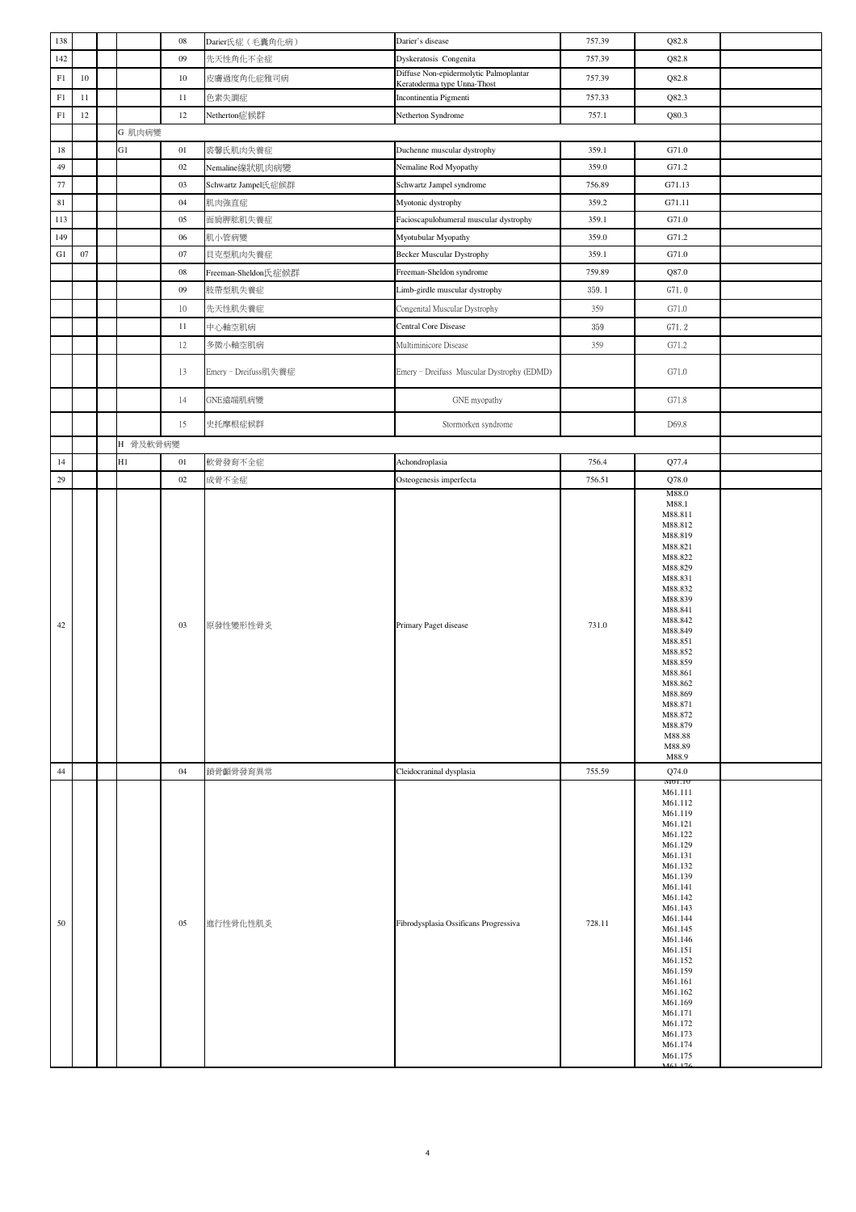| 138        |        |          | ${\bf 08}$ | Darier氏症 (毛囊角化病)     | Darier's disease                                                      | 757.39 | Q82.8                                                                                                                                                                                                                                                                                                |  |
|------------|--------|----------|------------|----------------------|-----------------------------------------------------------------------|--------|------------------------------------------------------------------------------------------------------------------------------------------------------------------------------------------------------------------------------------------------------------------------------------------------------|--|
| 142        |        |          | 09         | 先天性角化不全症             | Dyskeratosis Congenita                                                | 757.39 | Q82.8                                                                                                                                                                                                                                                                                                |  |
| ${\rm F}1$ | $10\,$ |          | $10\,$     | 皮膚過度角化症雅司病           | Diffuse Non-epidermolytic Palmoplantar<br>Keratoderma type Unna-Thost | 757.39 | Q82.8                                                                                                                                                                                                                                                                                                |  |
| ${\rm F}1$ | 11     |          | 11         | 色素失調症                | Incontinentia Pigmenti                                                | 757.33 | Q82.3                                                                                                                                                                                                                                                                                                |  |
| ${\rm F}1$ | 12     |          | 12         | Netherton症候群         | Netherton Syndrome                                                    | 757.1  | Q80.3                                                                                                                                                                                                                                                                                                |  |
|            |        | G 肌肉病變   |            |                      |                                                                       |        |                                                                                                                                                                                                                                                                                                      |  |
| $18\,$     |        | G1       | 01         | 裘馨氏肌肉失養症             | Duchenne muscular dystrophy                                           | 359.1  | G71.0                                                                                                                                                                                                                                                                                                |  |
| 49         |        |          | 02         | Nemaline線狀肌肉病變       | Nemaline Rod Myopathy                                                 | 359.0  | G71.2                                                                                                                                                                                                                                                                                                |  |
| 77         |        |          | 03         |                      | Schwartz Jampel syndrome                                              | 756.89 | G71.13                                                                                                                                                                                                                                                                                               |  |
| 81         |        |          |            | Schwartz Jampel氏症候群  |                                                                       |        |                                                                                                                                                                                                                                                                                                      |  |
|            |        |          | 04         | 肌肉強直症                | Myotonic dystrophy                                                    | 359.2  | G71.11                                                                                                                                                                                                                                                                                               |  |
| 113        |        |          | 05         | 面局胛肱肌失養症             | Facioscapulohumeral muscular dystrophy                                | 359.1  | G71.0                                                                                                                                                                                                                                                                                                |  |
| 149        |        |          | 06         | 肌小管病變                | Myotubular Myopathy                                                   | 359.0  | G71.2                                                                                                                                                                                                                                                                                                |  |
| ${\rm G1}$ | 07     |          | $07\,$     | 貝克型肌肉失養症             | <b>Becker Muscular Dystrophy</b>                                      | 359.1  | G71.0                                                                                                                                                                                                                                                                                                |  |
|            |        |          | 08         | Freeman-Sheldon氏症候群  | Freeman-Sheldon syndrome                                              | 759.89 | Q87.0                                                                                                                                                                                                                                                                                                |  |
|            |        |          | 09         | 肢帶型肌失養症              | Limb-girdle muscular dystrophy                                        | 359.1  | G71.0                                                                                                                                                                                                                                                                                                |  |
|            |        |          | $10\,$     | 先天性肌失養症              | Congenital Muscular Dystrophy                                         | 359    | G71.0                                                                                                                                                                                                                                                                                                |  |
|            |        |          | 11         | 中心軸空肌病               | <b>Central Core Disease</b>                                           | 359    | G71.2                                                                                                                                                                                                                                                                                                |  |
|            |        |          | $12 \,$    | 多微小軸空肌病              | Multiminicore Disease                                                 | 359    | G71.2                                                                                                                                                                                                                                                                                                |  |
|            |        |          | 13         | Emery - Dreifuss肌失養症 | Emery - Dreifuss Muscular Dystrophy (EDMD)                            |        | G71.0                                                                                                                                                                                                                                                                                                |  |
|            |        |          | 14         | GNE遠端肌病變             | GNE myopathy                                                          |        | G71.8                                                                                                                                                                                                                                                                                                |  |
|            |        |          | 15         | 史托摩根症候群              | Stormorken syndrome                                                   |        | D69.8                                                                                                                                                                                                                                                                                                |  |
|            |        | H 骨及軟骨病變 |            |                      |                                                                       |        |                                                                                                                                                                                                                                                                                                      |  |
| 14         |        | H1       | 01         | 軟骨發育不全症              | Achondroplasia                                                        | 756.4  | Q77.4                                                                                                                                                                                                                                                                                                |  |
| 29         |        |          | 02         | 成骨不全症                | Osteogenesis imperfecta                                               | 756.51 | Q78.0                                                                                                                                                                                                                                                                                                |  |
| 42         |        |          | 03         | 原發性變形性骨炎             | Primary Paget disease                                                 | 731.0  | M88.811<br>M88.812<br>M88.819<br>M88.821<br>M88.822<br>M88.829<br>M88.831<br>M88.832<br>M88.839<br>M88.841<br>M88.842<br>M88.849<br>M88.851<br>M88.852<br>M88.859<br>M88.861<br>M88.862<br>M88.869<br>M88.871<br>M88.872<br>M88.879<br>M88.88<br>M88.89<br>M88.9                                     |  |
| 44         |        |          | 04         | 鎖骨顱骨發育異常             | Cleidocraninal dysplasia                                              | 755.59 | Q74.0                                                                                                                                                                                                                                                                                                |  |
| 50         |        |          | 05         | 進行性骨化性肌炎             | Fibrodysplasia Ossificans Progressiva                                 | 728.11 | M01.10<br>M61.111<br>M61.112<br>M61.119<br>M61.121<br>M61.122<br>M61.129<br>M61.131<br>M61.132<br>M61.139<br>M61.141<br>M61.142<br>M61.143<br>M61.144<br>M61.145<br>M61.146<br>M61.151<br>M61.152<br>M61.159<br>M61.161<br>M61.162<br>M61.169<br>M61.171<br>M61.172<br>M61.173<br>M61.174<br>M61.175 |  |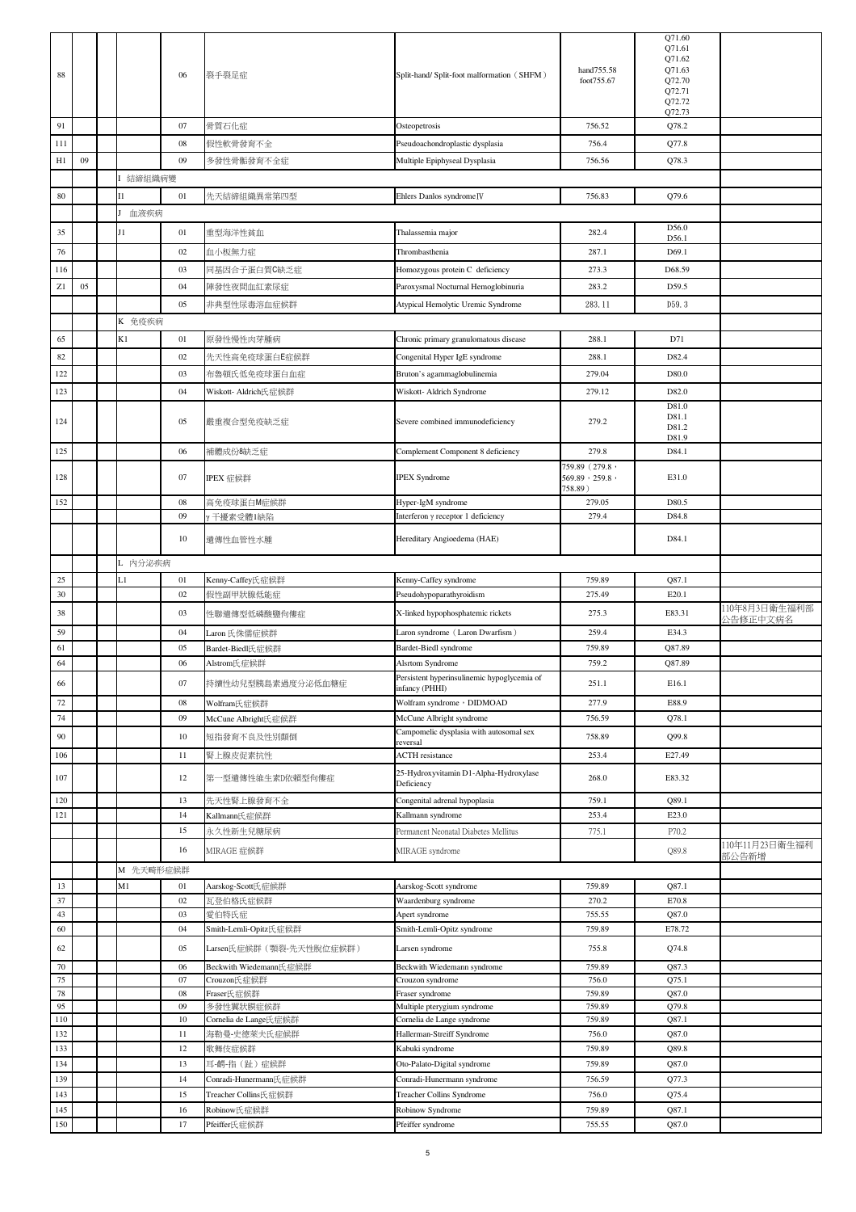| 88         |    |           | 06           | 裂手裂足症                              | Split-hand/ Split-foot malformation (SHFM)                    | hand755.58<br>foot755.67                            | Q71.60<br>Q71.61<br>Q71.62<br>Q71.63<br>Q72.70<br>Q72.71<br>Q72.72<br>Q72.73 |                           |
|------------|----|-----------|--------------|------------------------------------|---------------------------------------------------------------|-----------------------------------------------------|------------------------------------------------------------------------------|---------------------------|
| 91         |    |           | 07           | 骨質石化症                              | Osteopetrosis                                                 | 756.52                                              | Q78.2                                                                        |                           |
| 111        |    |           | $08\,$       | 假性軟骨發育不全                           | Pseudoachondroplastic dysplasia                               | 756.4                                               | Q77.8                                                                        |                           |
| H1         | 09 |           | 09           | 多發性骨骺發育不全症                         | Multiple Epiphyseal Dysplasia                                 | 756.56                                              | Q78.3                                                                        |                           |
|            |    | 結締組織病變    |              |                                    |                                                               |                                                     |                                                                              |                           |
| 80         |    | Ι1        | 01           | 先天結締組織異常第四型                        | Ehlers Danlos syndrome <sub>IV</sub>                          | 756.83                                              | Q79.6                                                                        |                           |
|            |    | 血液疾病      |              |                                    |                                                               |                                                     |                                                                              |                           |
| 35         |    | $_{11}$   | 01           | 重型海洋性貧血                            | Thalassemia major                                             | 282.4                                               | D56.0<br>D56.1                                                               |                           |
| 76         |    |           | 02           | 血小板無力症                             | Thrombasthenia                                                | 287.1                                               | D69.1                                                                        |                           |
| 116        |    |           | 03           | 同基因合子蛋白質C缺乏症                       | Homozygous protein C deficiency                               | 273.3                                               | D68.59                                                                       |                           |
| Z1         | 05 |           | 04           | 陣發性夜間血紅素尿症                         | Paroxysmal Nocturnal Hemoglobinuria                           | 283.2                                               | D59.5                                                                        |                           |
|            |    |           | 05           | 非典型性尿毒溶血症候群                        | Atypical Hemolytic Uremic Syndrome                            | 283.11                                              | D59.3                                                                        |                           |
|            |    | K 免疫疾病    |              |                                    |                                                               |                                                     |                                                                              |                           |
| 65         |    | K1        | 01           | 原發性慢性肉芽腫病                          | Chronic primary granulomatous disease                         | 288.1                                               | D71                                                                          |                           |
| 82         |    |           | $02\,$       | 先天性高免疫球蛋白E症候群                      | Congenital Hyper IgE syndrome                                 | 288.1                                               | D82.4                                                                        |                           |
| 122        |    |           | 03           | 布魯頓氏低免疫球蛋白血症                       | Bruton's agammaglobulinemia                                   | 279.04                                              | D80.0                                                                        |                           |
| 123        |    |           | 04           | Wiskott- Aldrich氏症候群               | Wiskott- Aldrich Syndrome                                     | 279.12                                              | D82.0                                                                        |                           |
| 124        |    |           | 05           | 嚴重複合型免疫缺乏症                         | Severe combined immunodeficiency                              | 279.2                                               | D81.0<br>D81.1<br>D81.2<br>D81.9                                             |                           |
| 125        |    |           | 06           | 補體成份8缺乏症                           | Complement Component 8 deficiency                             | 279.8                                               | D84.1                                                                        |                           |
| 128        |    |           | 07           | IPEX 症候群                           | <b>IPEX</b> Syndrome                                          | 759.89 (279.8,<br>$569.89 \cdot 259.8$ ,<br>758.89) | E31.0                                                                        |                           |
| 152        |    |           | 08           | 高免疫球蛋白M症候群                         | Hyper-IgM syndrome                                            | 279.05                                              | D80.5                                                                        |                           |
|            |    |           | 09           | / 干擾素受體1缺陷                         | Interferon y receptor 1 deficiency                            | 279.4                                               | D84.8                                                                        |                           |
|            |    |           | 10           | 遺傳性血管性水腫                           | Hereditary Angioedema (HAE)                                   |                                                     | D84.1                                                                        |                           |
|            |    | L 内分泌疾病   |              |                                    |                                                               |                                                     |                                                                              |                           |
| 25         |    | L1        | 01           | Kenny-Caffey氏症候群                   | Kenny-Caffey syndrome                                         | 759.89                                              | Q87.1                                                                        |                           |
| 30         |    |           | 02           | 假性副甲狀腺低能症                          | Pseudohypoparathyroidism                                      | 275.49                                              | E20.1                                                                        |                           |
| 38         |    |           | 03           | 性聯潰傳型低磷酸鹽佝僂症                       | X-linked hypophosphatemic rickets                             | 275.3                                               | E83.31                                                                       | 110年8月3日衛生福利部<br>公告修正中文病名 |
| 59         |    |           | 04           | Laron 氏侏儒症候群                       | Laron syndrome (Laron Dwarfism)                               | 259.4                                               | E34.3                                                                        |                           |
| 61         |    |           | 05           | Bardet-Biedl氏症候群                   | Bardet-Biedl syndrome                                         | 759.89                                              | Q87.89                                                                       |                           |
| 64         |    |           | 06           | Alstrom氏症候群                        | Alsrtom Syndrome                                              | 759.2                                               | Q87.89                                                                       |                           |
| 66         |    |           | 07           | 持續性幼兒型胰島素過度分泌低血糖症                  | Persistent hyperinsulinemic hypoglycemia of<br>infancy (PHHI) | 251.1                                               | E16.1                                                                        |                           |
| 72         |    |           | 08           | Wolfram氏症候群                        | Wolfram syndrome , DIDMOAD                                    | 277.9                                               | E88.9                                                                        |                           |
| 74         |    |           | 09           | McCune Albright氏症候群                | McCune Albright syndrome                                      | 756.59                                              | Q78.1                                                                        |                           |
| $90\,$     |    |           | $10\,$       | 短指發育不良及性別顛倒                        | Campomelic dysplasia with autosomal sex                       | 758.89                                              | Q99.8                                                                        |                           |
| 106        |    |           | 11           | 腎上腺皮促素抗性                           | reversal<br><b>ACTH</b> resistance                            | 253.4                                               | E27.49                                                                       |                           |
| 107        |    |           | 12           | 第一型遺傳性維生素D依賴型佝僂症                   | 25-Hydroxyvitamin D1-Alpha-Hydroxylase<br>Deficiency          | 268.0                                               | E83.32                                                                       |                           |
| 120        |    |           | 13           | 先天性腎上腺發育不全                         | Congenital adrenal hypoplasia                                 | 759.1                                               | Q89.1                                                                        |                           |
| 121        |    |           | 14           | Kallmann氏症候群                       | Kallmann syndrome                                             | 253.4                                               | E23.0                                                                        |                           |
|            |    |           | 15           | 永久性新生兒糖尿病                          | Permanent Neonatal Diabetes Mellitus                          | 775.1                                               | P70.2                                                                        | 110年11月23日衛生福利            |
|            |    |           | 16           | MIRAGE 症候群                         | MIRAGE syndrome                                               |                                                     | Q89.8                                                                        | 部公告新增                     |
|            |    | M 先天畸形症候群 |              |                                    |                                                               |                                                     |                                                                              |                           |
| 13         |    | M1        | 01           | Aarskog-Scott氏症候群                  | Aarskog-Scott syndrome                                        | 759.89                                              | Q87.1                                                                        |                           |
| 37<br>43   |    |           | 02<br>03     | 瓦登伯格氏症候群<br>愛伯特氏症                  | Waardenburg syndrome<br>Apert syndrome                        | 270.2<br>755.55                                     | E70.8<br>Q87.0                                                               |                           |
| 60         |    |           | 04           | Smith-Lemli-Opitz氏症候群              | Smith-Lemli-Opitz syndrome                                    | 759.89                                              | E78.72                                                                       |                           |
| 62         |    |           | 05           | Larsen氏症候群 (顎裂-先天性脫位症候群)           | Larsen syndrome                                               | 755.8                                               | Q74.8                                                                        |                           |
| $70\,$     |    |           | 06           | Beckwith Wiedemann氏症候群             | Beckwith Wiedemann syndrome                                   | 759.89                                              | Q87.3                                                                        |                           |
| 75         |    |           | 07           | Crouzon氏症候群                        | Crouzon syndrome                                              | 756.0                                               | Q75.1                                                                        |                           |
| 78         |    |           | $08\,$       | Fraser氏症候群                         | Fraser syndrome                                               | 759.89                                              | Q87.0                                                                        |                           |
| 95<br>110  |    |           | 09<br>$10\,$ | 多發性翼狀膜症候群<br>Cornelia de Lange氏症候群 | Multiple pterygium syndrome<br>Cornelia de Lange syndrome     | 759.89<br>759.89                                    | Q79.8<br>Q87.1                                                               |                           |
| 132        |    |           | $11\,$       | 海勒曼-史德萊夫氏症候群                       | Hallerman-Streiff Syndrome                                    | 756.0                                               | Q87.0                                                                        |                           |
| 133        |    |           | 12           | 歌舞伎症候群                             | Kabuki syndrome                                               | 759.89                                              | Q89.8                                                                        |                           |
| 134        |    |           | 13           | 耳-齶-指(趾)症候群                        | Oto-Palato-Digital syndrome                                   | 759.89                                              | Q87.0                                                                        |                           |
| 139        |    |           | 14           | Conradi-Hunermann氏症候群              | Conradi-Hunermann syndrome                                    | 756.59                                              | Q77.3                                                                        |                           |
| 143        |    |           | 15           | Treacher Collins氏症候群               | Treacher Collins Syndrome                                     | 756.0                                               | Q75.4                                                                        |                           |
| 145<br>150 |    |           | 16<br>17     | Robinow氏症候群                        | Robinow Syndrome                                              | 759.89<br>755.55                                    | Q87.1                                                                        |                           |
|            |    |           |              | Pfeiffer氏症候群                       | Pfeiffer syndrome                                             |                                                     | Q87.0                                                                        |                           |